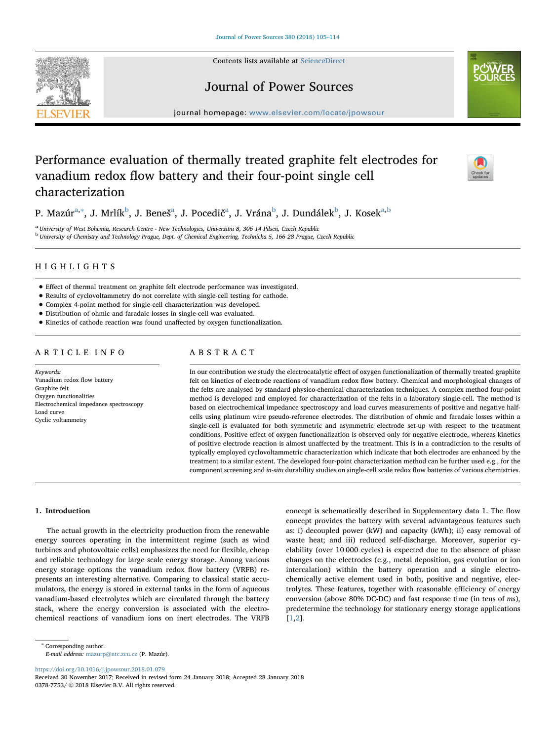Contents lists available at [ScienceDirect](http://www.sciencedirect.com/science/journal/03787753)





### Journal of Power Sources

journal homepage: [www.elsevier.com/locate/jpowsour](https://www.elsevier.com/locate/jpowsour)

## Performance evaluation of thermally treated graphite felt electrodes for vanadium redox flow battery and their four-point single cell characterization



P. Mazúr<sup>[a,](#page-0-0)</sup>\*, J. Mrlík<sup>[b](#page-0-2)</sup>, J. Beneš<sup>[a](#page-0-0)</sup>, J. Pocedič<sup>a</sup>, J. Vrána<sup>b</sup>, J. Dundálek<sup>b</sup>, J. Kosek<sup>a[,b](#page-0-2)</sup>

<span id="page-0-0"></span><sup>a</sup> University of West Bohemia, Research Centre - New Technologies, Univerzitni 8, 306 14 Pilsen, Czech Republic

<span id="page-0-2"></span><sup>b</sup> University of Chemistry and Technology Prague, Dept. of Chemical Engineering, Technicka 5, 166 28 Prague, Czech Republic

#### HIGHLIGHTS

- <sup>E</sup>ffect of thermal treatment on graphite felt electrode performance was investigated.
- Results of cyclovoltammetry do not correlate with single-cell testing for cathode.
- Complex 4-point method for single-cell characterization was developed.
- Distribution of ohmic and faradaic losses in single-cell was evaluated.
- Kinetics of cathode reaction was found unaffected by oxygen functionalization.

#### ARTICLE INFO

Keywords: Vanadium redox flow battery Graphite felt Oxygen functionalities Electrochemical impedance spectroscopy Load curve Cyclic voltammetry

#### ABSTRACT

In our contribution we study the electrocatalytic effect of oxygen functionalization of thermally treated graphite felt on kinetics of electrode reactions of vanadium redox flow battery. Chemical and morphological changes of the felts are analysed by standard physico-chemical characterization techniques. A complex method four-point method is developed and employed for characterization of the felts in a laboratory single-cell. The method is based on electrochemical impedance spectroscopy and load curves measurements of positive and negative halfcells using platinum wire pseudo-reference electrodes. The distribution of ohmic and faradaic losses within a single-cell is evaluated for both symmetric and asymmetric electrode set-up with respect to the treatment conditions. Positive effect of oxygen functionalization is observed only for negative electrode, whereas kinetics of positive electrode reaction is almost unaffected by the treatment. This is in a contradiction to the results of typically employed cyclovoltammetric characterization which indicate that both electrodes are enhanced by the treatment to a similar extent. The developed four-point characterization method can be further used e.g., for the component screening and in-situ durability studies on single-cell scale redox flow batteries of various chemistries.

#### 1. Introduction

The actual growth in the electricity production from the renewable energy sources operating in the intermittent regime (such as wind turbines and photovoltaic cells) emphasizes the need for flexible, cheap and reliable technology for large scale energy storage. Among various energy storage options the vanadium redox flow battery (VRFB) represents an interesting alternative. Comparing to classical static accumulators, the energy is stored in external tanks in the form of aqueous vanadium-based electrolytes which are circulated through the battery stack, where the energy conversion is associated with the electrochemical reactions of vanadium ions on inert electrodes. The VRFB concept is schematically described in Supplementary data 1. The flow concept provides the battery with several advantageous features such as: i) decoupled power (kW) and capacity (kWh); ii) easy removal of waste heat; and iii) reduced self-discharge. Moreover, superior cyclability (over 10 000 cycles) is expected due to the absence of phase changes on the electrodes (e.g., metal deposition, gas evolution or ion intercalation) within the battery operation and a single electrochemically active element used in both, positive and negative, electrolytes. These features, together with reasonable efficiency of energy conversion (above 80% DC-DC) and fast response time (in tens of ms), predetermine the technology for stationary energy storage applications [[1](#page--1-0),[2](#page--1-1)].

<https://doi.org/10.1016/j.jpowsour.2018.01.079>

<span id="page-0-1"></span><sup>∗</sup> Corresponding author.

E-mail address: [mazurp@ntc.zcu.cz](mailto:mazurp@ntc.zcu.cz) (P. Mazúr).

Received 30 November 2017; Received in revised form 24 January 2018; Accepted 28 January 2018 0378-7753/ © 2018 Elsevier B.V. All rights reserved.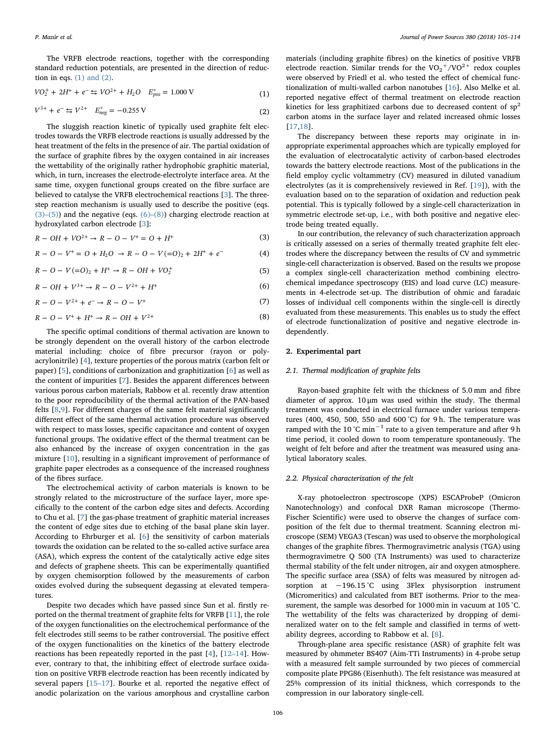<span id="page-1-0"></span>The VRFB electrode reactions, together with the corresponding standard reduction potentials, are presented in the direction of reduction in eqs.  $(1)$  and  $(2)$ .

$$
VO_2^+ + 2H^+ + e^- \leftrightarrows VO^{2+} + H_2O \quad E_{pos}^{\circ} = 1.000 \text{ V}
$$
 (1)

$$
V^{3+} + e^- \leftrightarrows V^{2+} E^{\circ}_{neg} = -0.255 \text{ V}
$$
 (2)

The sluggish reaction kinetic of typically used graphite felt electrodes towards the VRFB electrode reactions is usually addressed by the heat treatment of the felts in the presence of air. The partial oxidation of the surface of graphite fibres by the oxygen contained in air increases the wettability of the originally rather hydrophobic graphitic material, which, in turn, increases the electrode-electrolyte interface area. At the same time, oxygen functional groups created on the fibre surface are believed to catalyse the VRFB electrochemical reactions [[3\]](#page--1-2). The threestep reaction mechanism is usually used to describe the positive (eqs.  $(3)$ – $(5)$ ) and the negative (eqs.  $(6)$ – $(8)$ ) charging electrode reaction at hydroxylated carbon electrode [\[3\]](#page--1-2):

<span id="page-1-1"></span>
$$
R - OH + VO^{2+} \to R - O - V^{+} = O + H^{+}
$$
\n(3)

$$
R - O - V^{+} = O + H_{2}O \rightarrow R - O - V(=O)_{2} + 2H^{+} + e^{-}
$$
 (4)

$$
R - O - V(=O)_2 + H^+ \to R - OH + VO_2^+ \tag{5}
$$

<span id="page-1-2"></span> $R - OH + V^{3+} \rightarrow R - O - V^{2+} + H^+$  (6)

$$
R - O - V^{2+} + e^- \to R - O - V^+ \tag{7}
$$

$$
R - O - V^+ + H^+ \to R - OH + V^{2+}
$$
 (8)

The specific optimal conditions of thermal activation are known to be strongly dependent on the overall history of the carbon electrode material including: choice of fibre precursor (rayon or polyacrylonitrile) [\[4\]](#page--1-3), texture properties of the porous matrix (carbon felt or paper) [[5](#page--1-4)], conditions of carbonization and graphitization [[6](#page--1-5)] as well as the content of impurities [[7](#page--1-6)]. Besides the apparent differences between various porous carbon materials, Rabbow et al. recently draw attention to the poor reproducibility of the thermal activation of the PAN-based felts [\[8](#page--1-7)[,9\]](#page--1-8). For different charges of the same felt material significantly different effect of the same thermal activation procedure was observed with respect to mass losses, specific capacitance and content of oxygen functional groups. The oxidative effect of the thermal treatment can be also enhanced by the increase of oxygen concentration in the gas mixture [[10\]](#page--1-9), resulting in a significant improvement of performance of graphite paper electrodes as a consequence of the increased roughness of the fibres surface.

The electrochemical activity of carbon materials is known to be strongly related to the microstructure of the surface layer, more specifically to the content of the carbon edge sites and defects. According to Chu et al. [\[7\]](#page--1-6) the gas-phase treatment of graphitic material increases the content of edge sites due to etching of the basal plane skin layer. According to Ehrburger et al. [\[6\]](#page--1-5) the sensitivity of carbon materials towards the oxidation can be related to the so-called active surface area (ASA), which express the content of the catalytically active edge sites and defects of graphene sheets. This can be experimentally quantified by oxygen chemisorption followed by the measurements of carbon oxides evolved during the subsequent degassing at elevated temperatures

Despite two decades which have passed since Sun et al. firstly reported on the thermal treatment of graphite felts for VRFB [\[11](#page--1-10)], the role of the oxygen functionalities on the electrochemical performance of the felt electrodes still seems to be rather controversial. The positive effect of the oxygen functionalities on the kinetics of the battery electrode reactions has been repeatedly reported in the past [\[4\]](#page--1-3), [\[12](#page--1-11)–14]. However, contrary to that, the inhibiting effect of electrode surface oxidation on positive VRFB electrode reaction has been recently indicated by several papers [15–[17\]](#page--1-12). Bourke et al. reported the negative effect of anodic polarization on the various amorphous and crystalline carbon

materials (including graphite fibres) on the kinetics of positive VRFB electrode reaction. Similar trends for the  $VO_2^+/VO^{2+}$  redox couples were observed by Friedl et al. who tested the effect of chemical functionalization of multi-walled carbon nanotubes [\[16](#page--1-13)]. Also Melke et al. reported negative effect of thermal treatment on electrode reaction kinetics for less graphitized carbons due to decreased content of  $sp^2$ carbon atoms in the surface layer and related increased ohmic losses [[17](#page--1-14)[,18](#page--1-15)].

The discrepancy between these reports may originate in inappropriate experimental approaches which are typically employed for the evaluation of electrocatalytic activity of carbon-based electrodes towards the battery electrode reactions. Most of the publications in the field employ cyclic voltammetry (CV) measured in diluted vanadium electrolytes (as it is comprehensively reviewed in Ref. [\[19](#page--1-16)]), with the evaluation based on to the separation of oxidation and reduction peak potential. This is typically followed by a single-cell characterization in symmetric electrode set-up, i.e., with both positive and negative electrode being treated equally.

In our contribution, the relevancy of such characterization approach is critically assessed on a series of thermally treated graphite felt electrodes where the discrepancy between the results of CV and symmetric single-cell characterization is observed. Based on the results we propose a complex single-cell characterization method combining electrochemical impedance spectroscopy (EIS) and load curve (LC) measurements in 4-electrode set-up. The distribution of ohmic and faradaic losses of individual cell components within the single-cell is directly evaluated from these measurements. This enables us to study the effect of electrode functionalization of positive and negative electrode independently.

#### 2. Experimental part

#### 2.1. Thermal modification of graphite felts

Rayon-based graphite felt with the thickness of 5.0 mm and fibre diameter of approx. 10 μm was used within the study. The thermal treatment was conducted in electrical furnace under various temperatures (400, 450, 500, 550 and 600 °C) for 9 h. The temperature was ramped with the 10 °C min<sup>-1</sup> rate to a given temperature and after 9 h time period, it cooled down to room temperature spontaneously. The weight of felt before and after the treatment was measured using analytical laboratory scales.

#### 2.2. Physical characterization of the felt

X-ray photoelectron spectroscope (XPS) ESCAProbeP (Omicron Nanotechnology) and confocal DXR Raman microscope (Thermo-Fischer Scientific) were used to observe the changes of surface composition of the felt due to thermal treatment. Scanning electron microscope (SEM) VEGA3 (Tescan) was used to observe the morphological changes of the graphite fibres. Thermogravimetric analysis (TGA) using thermogravimetre Q 500 (TA Instruments) was used to characterize thermal stability of the felt under nitrogen, air and oxygen atmosphere. The specific surface area (SSA) of felts was measured by nitrogen adsorption at −196.15 °C using 3Flex physisorption instrument (Micromeritics) and calculated from BET isotherms. Prior to the measurement, the sample was desorbed for 1000 min in vacuum at 105 °C. The wettability of the felts was characterized by dropping of demineralized water on to the felt sample and classified in terms of wettability degrees, according to Rabbow et al. [[8](#page--1-7)].

Through-plane area specific resistance (ASR) of graphite felt was measured by ohmmeter BS407 (Aim-TTi Instruments) in 4-probe setup with a measured felt sample surrounded by two pieces of commercial composite plate PPG86 (Eisenhuth). The felt resistance was measured at 25% compression of its initial thickness, which corresponds to the compression in our laboratory single-cell.